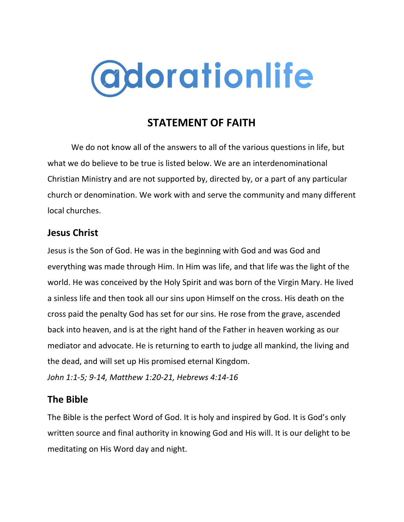

# **STATEMENT OF FAITH**

We do not know all of the answers to all of the various questions in life, but what we do believe to be true is listed below. We are an interdenominational Christian Ministry and are not supported by, directed by, or a part of any particular church or denomination. We work with and serve the community and many different local churches.

#### **Jesus Christ**

Jesus is the Son of God. He was in the beginning with God and was God and everything was made through Him. In Him was life, and that life was the light of the world. He was conceived by the Holy Spirit and was born of the Virgin Mary. He lived a sinless life and then took all our sins upon Himself on the cross. His death on the cross paid the penalty God has set for our sins. He rose from the grave, ascended back into heaven, and is at the right hand of the Father in heaven working as our mediator and advocate. He is returning to earth to judge all mankind, the living and the dead, and will set up His promised eternal Kingdom. *John 1:1-5; 9-14, Matthew 1:20-21, Hebrews 4:14-16*

#### **The Bible**

The Bible is the perfect Word of God. It is holy and inspired by God. It is God's only written source and final authority in knowing God and His will. It is our delight to be meditating on His Word day and night.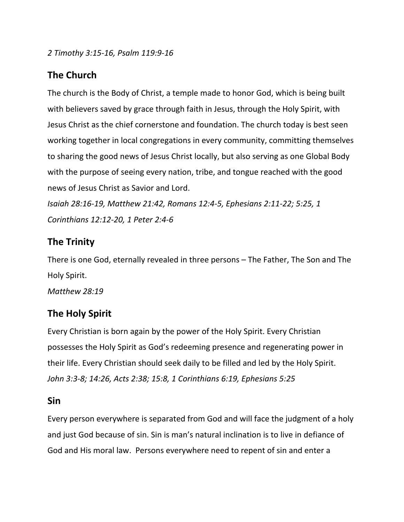*2 Timothy 3:15-16, Psalm 119:9-16*

# **The Church**

The church is the Body of Christ, a temple made to honor God, which is being built with believers saved by grace through faith in Jesus, through the Holy Spirit, with Jesus Christ as the chief cornerstone and foundation. The church today is best seen working together in local congregations in every community, committing themselves to sharing the good news of Jesus Christ locally, but also serving as one Global Body with the purpose of seeing every nation, tribe, and tongue reached with the good news of Jesus Christ as Savior and Lord.

*Isaiah 28:16-19, Matthew 21:42, Romans 12:4-5, Ephesians 2:11-22; 5:25, 1 Corinthians 12:12-20, 1 Peter 2:4-6*

## **The Trinity**

There is one God, eternally revealed in three persons – The Father, The Son and The Holy Spirit.

*Matthew 28:19*

## **The Holy Spirit**

Every Christian is born again by the power of the Holy Spirit. Every Christian possesses the Holy Spirit as God's redeeming presence and regenerating power in their life. Every Christian should seek daily to be filled and led by the Holy Spirit. *John 3:3-8; 14:26, Acts 2:38; 15:8, 1 Corinthians 6:19, Ephesians 5:25*

#### **Sin**

Every person everywhere is separated from God and will face the judgment of a holy and just God because of sin. Sin is man's natural inclination is to live in defiance of God and His moral law. Persons everywhere need to repent of sin and enter a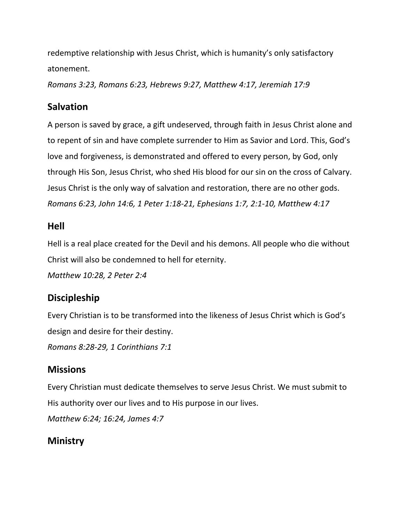redemptive relationship with Jesus Christ, which is humanity's only satisfactory atonement.

*Romans 3:23, Romans 6:23, Hebrews 9:27, Matthew 4:17, Jeremiah 17:9*

# **Salvation**

A person is saved by grace, a gift undeserved, through faith in Jesus Christ alone and to repent of sin and have complete surrender to Him as Savior and Lord. This, God's love and forgiveness, is demonstrated and offered to every person, by God, only through His Son, Jesus Christ, who shed His blood for our sin on the cross of Calvary. Jesus Christ is the only way of salvation and restoration, there are no other gods. *Romans 6:23, John 14:6, 1 Peter 1:18-21, Ephesians 1:7, 2:1-10, Matthew 4:17*

## **Hell**

Hell is a real place created for the Devil and his demons. All people who die without Christ will also be condemned to hell for eternity.

*Matthew 10:28, 2 Peter 2:4*

# **Discipleship**

Every Christian is to be transformed into the likeness of Jesus Christ which is God's design and desire for their destiny.

*Romans 8:28-29, 1 Corinthians 7:1*

# **Missions**

Every Christian must dedicate themselves to serve Jesus Christ. We must submit to His authority over our lives and to His purpose in our lives.

*Matthew 6:24; 16:24, James 4:7*

# **Ministry**